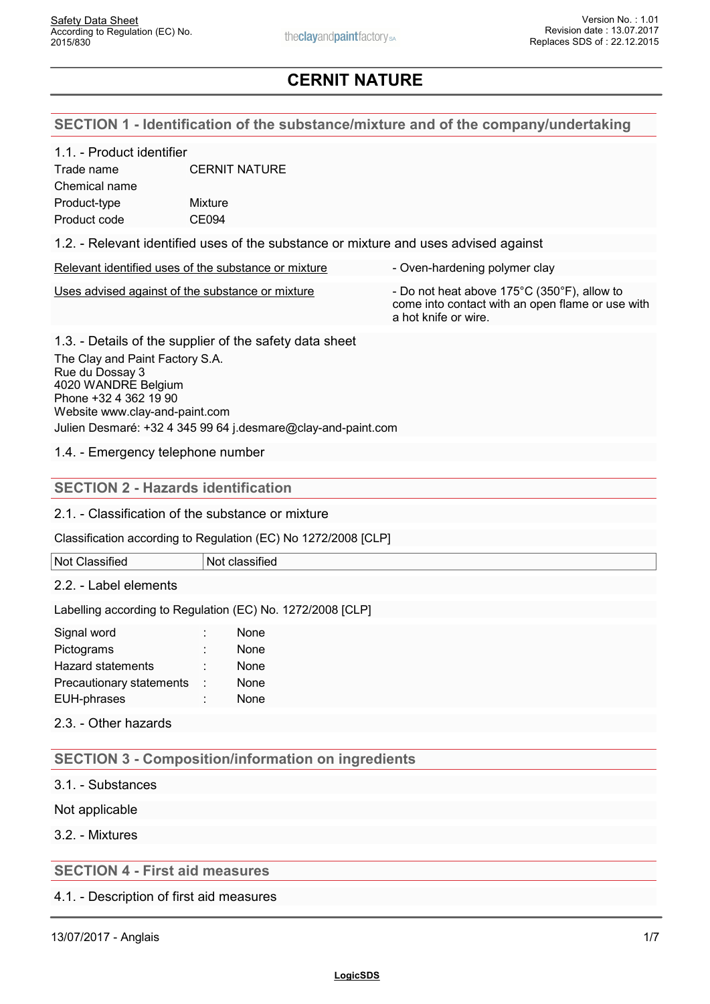### **SECTION 1 - Identification of the substance/mixture and of the company/undertaking**

#### 1.1. - Product identifier

| Trade name    | <b>CERNIT NATURE</b> |
|---------------|----------------------|
| Chemical name |                      |
| Product-type  | Mixture              |
| Product code  | CE094                |

1.2. - Relevant identified uses of the substance or mixture and uses advised against

|  | Relevant identified uses of the substance or mixture |  |
|--|------------------------------------------------------|--|
|  |                                                      |  |

Uses advised against of the substance or mixture - Do not heat above 175°C (350°F), allow to

come into contact with an open flame or use with a hot knife or wire.

- Oven-hardening polymer clay

1.3. - Details of the supplier of the safety data sheet The Clay and Paint Factory S.A. Rue du Dossay 3 4020 WANDRE Belgium Phone +32 4 362 19 90 Website www.clay-and-paint.com Julien Desmaré: +32 4 345 99 64 j.desmare@clay-and-paint.com

1.4. - Emergency telephone number

### **SECTION 2 - Hazards identification**

#### 2.1. - Classification of the substance or mixture

Classification according to Regulation (EC) No 1272/2008 [CLP]

#### Not Classified Not classified

#### 2.2. - Label elements

Labelling according to Regulation (EC) No. 1272/2008 [CLP]

| Signal word                | None |
|----------------------------|------|
| Pictograms                 | None |
| Hazard statements          | None |
| Precautionary statements : | None |
| EUH-phrases                | None |
|                            |      |

2.3. - Other hazards

## **SECTION 3 - Composition/information on ingredients**

3.1. - Substances

Not applicable

3.2. - Mixtures

## **SECTION 4 - First aid measures**

4.1. - Description of first aid measures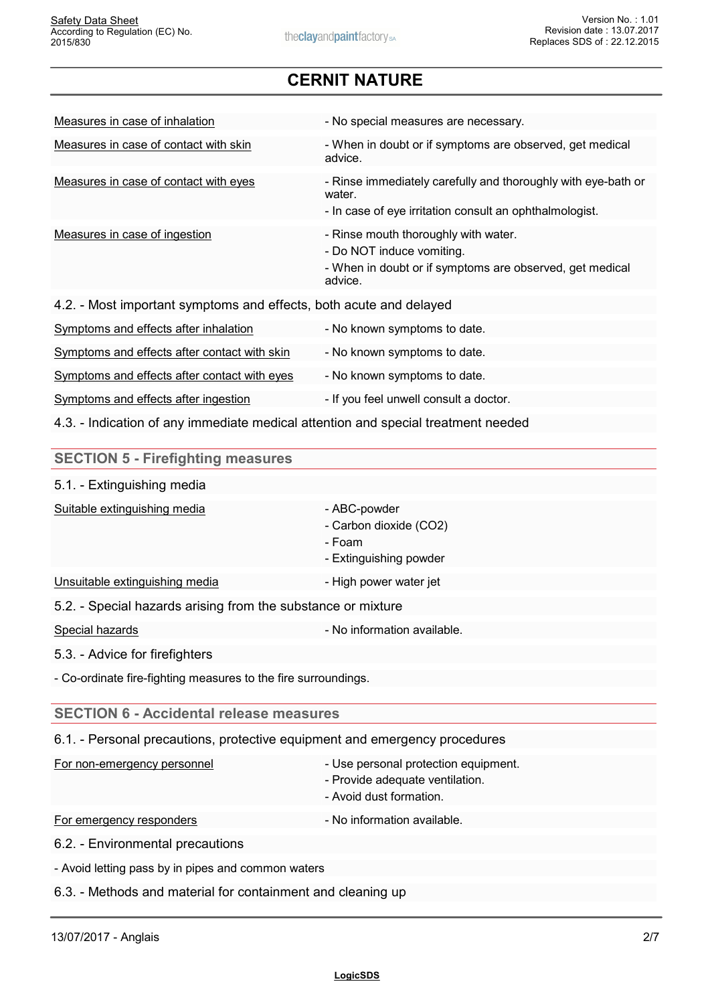| Measures in case of inhalation                                     | - No special measures are necessary.                                                                                                     |
|--------------------------------------------------------------------|------------------------------------------------------------------------------------------------------------------------------------------|
| Measures in case of contact with skin                              | - When in doubt or if symptoms are observed, get medical<br>advice.                                                                      |
| Measures in case of contact with eyes                              | - Rinse immediately carefully and thoroughly with eye-bath or<br>water.<br>- In case of eye irritation consult an ophthalmologist.       |
| Measures in case of ingestion                                      | - Rinse mouth thoroughly with water.<br>- Do NOT induce vomiting.<br>- When in doubt or if symptoms are observed, get medical<br>advice. |
| 4.2. - Most important symptoms and effects, both acute and delayed |                                                                                                                                          |

| Symptoms and effects after inhalation        | - No known symptoms to date.           |
|----------------------------------------------|----------------------------------------|
| Symptoms and effects after contact with skin | - No known symptoms to date.           |
| Symptoms and effects after contact with eyes | - No known symptoms to date.           |
| Symptoms and effects after ingestion         | - If you feel unwell consult a doctor. |

4.3. - Indication of any immediate medical attention and special treatment needed

| <b>SECTION 5 - Firefighting measures</b>                                   |                                                                                                    |
|----------------------------------------------------------------------------|----------------------------------------------------------------------------------------------------|
| 5.1. - Extinguishing media                                                 |                                                                                                    |
| Suitable extinguishing media                                               | - ABC-powder<br>- Carbon dioxide (CO2)<br>- Foam<br>- Extinguishing powder                         |
| Unsuitable extinguishing media                                             | - High power water jet                                                                             |
| 5.2. - Special hazards arising from the substance or mixture               |                                                                                                    |
| Special hazards                                                            | - No information available.                                                                        |
| 5.3. - Advice for firefighters                                             |                                                                                                    |
| - Co-ordinate fire-fighting measures to the fire surroundings.             |                                                                                                    |
| <b>SECTION 6 - Accidental release measures</b>                             |                                                                                                    |
| 6.1. - Personal precautions, protective equipment and emergency procedures |                                                                                                    |
| For non-emergency personnel                                                | - Use personal protection equipment.<br>- Provide adequate ventilation.<br>- Avoid dust formation. |
| For emergency responders                                                   | - No information available.                                                                        |
| 6.2. - Environmental precautions                                           |                                                                                                    |
| - Avoid letting pass by in pipes and common waters                         |                                                                                                    |
| 6.3. - Methods and material for containment and cleaning up                |                                                                                                    |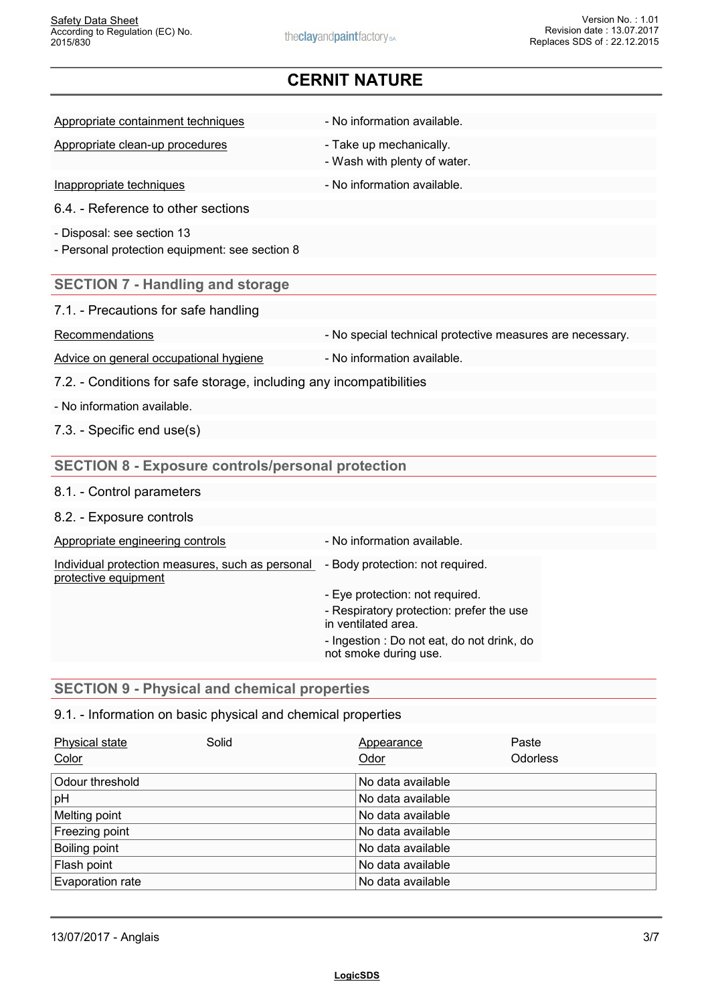Appropriate containment techniques - No information available.

Appropriate clean-up procedures - Take up mechanically.

Inappropriate techniques **Internation** - No information available.

6.4. - Reference to other sections

- Disposal: see section 13

- Personal protection equipment: see section 8

### **SECTION 7 - Handling and storage**

| 7.1. - Precautions for safe handling |
|--------------------------------------|
|--------------------------------------|

Recommendations **Recommendations** - No special technical protective measures are necessary.

Advice on general occupational hygiene - No information available.

- Wash with plenty of water.

7.2. - Conditions for safe storage, including any incompatibilities

- No information available.

7.3. - Specific end use(s)

## **SECTION 8 - Exposure controls/personal protection**

#### 8.1. - Control parameters

8.2. - Exposure controls

| Individual protection measures, such as personal - Body protection: not required.<br>- Eye protection: not required.<br>- Respiratory protection: prefer the use<br>in ventilated area.<br>- Ingestion : Do not eat, do not drink, do | Appropriate engineering controls | - No information available. |  |
|---------------------------------------------------------------------------------------------------------------------------------------------------------------------------------------------------------------------------------------|----------------------------------|-----------------------------|--|
|                                                                                                                                                                                                                                       | protective equipment             |                             |  |
|                                                                                                                                                                                                                                       |                                  | not smoke during use.       |  |

### **SECTION 9 - Physical and chemical properties**

## 9.1. - Information on basic physical and chemical properties

| Physical state<br>Color | Solid | Appearance<br>Odor | Paste<br><b>Odorless</b> |  |
|-------------------------|-------|--------------------|--------------------------|--|
| Odour threshold         |       | No data available  |                          |  |
| pH                      |       | No data available  |                          |  |
| Melting point           |       | No data available  |                          |  |
| Freezing point          |       | No data available  |                          |  |
| Boiling point           |       | No data available  |                          |  |
| Flash point             |       | No data available  |                          |  |
| Evaporation rate        |       | No data available  |                          |  |
|                         |       |                    |                          |  |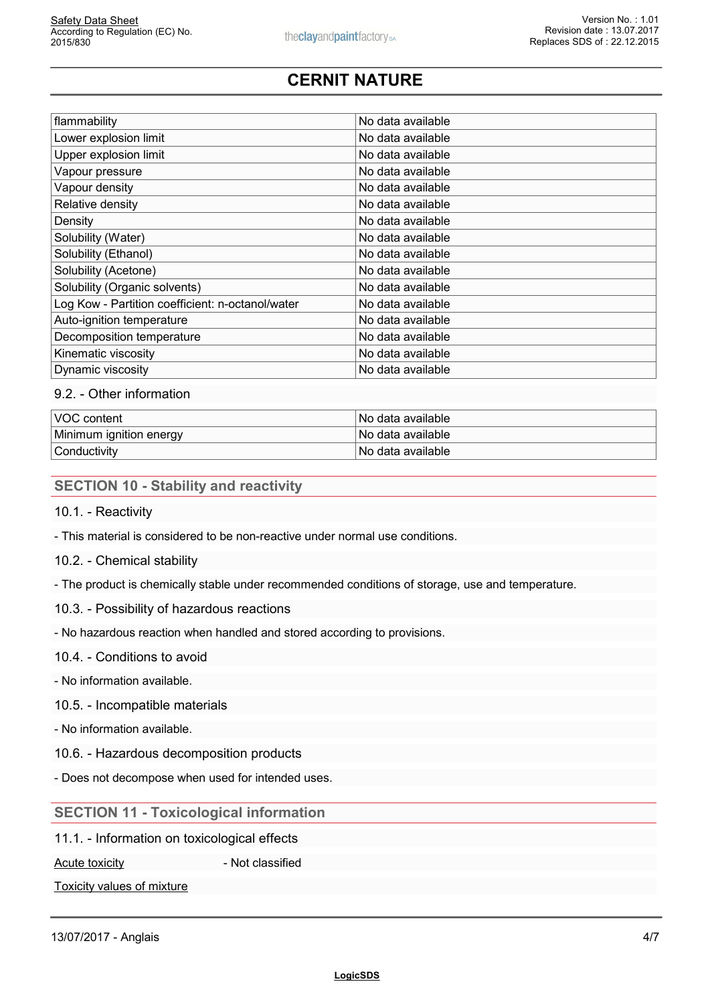| flammability                                     | No data available |
|--------------------------------------------------|-------------------|
| Lower explosion limit                            | No data available |
| Upper explosion limit                            | No data available |
| Vapour pressure                                  | No data available |
| Vapour density                                   | No data available |
| Relative density                                 | No data available |
| Density                                          | No data available |
| Solubility (Water)                               | No data available |
| Solubility (Ethanol)                             | No data available |
| Solubility (Acetone)                             | No data available |
| Solubility (Organic solvents)                    | No data available |
| Log Kow - Partition coefficient: n-octanol/water | No data available |
| Auto-ignition temperature                        | No data available |
| Decomposition temperature                        | No data available |
| Kinematic viscosity                              | No data available |
| Dynamic viscosity                                | No data available |
|                                                  |                   |

### 9.2. - Other information

| VOC content             | ∣No data available l |
|-------------------------|----------------------|
| Minimum ignition energy | ∣No data available l |
| Conductivity            | ∣No data available l |

## **SECTION 10 - Stability and reactivity**

10.1. - Reactivity

- This material is considered to be non-reactive under normal use conditions.
- 10.2. Chemical stability
- The product is chemically stable under recommended conditions of storage, use and temperature.
- 10.3. Possibility of hazardous reactions

- No hazardous reaction when handled and stored according to provisions.

#### 10.4. - Conditions to avoid

- No information available.

#### 10.5. - Incompatible materials

- No information available.

- 10.6. Hazardous decomposition products
- Does not decompose when used for intended uses.

#### **SECTION 11 - Toxicological information**

11.1. - Information on toxicological effects

Acute toxicity **Acute is a set of the Acute toxicity - Not classified** 

Toxicity values of mixture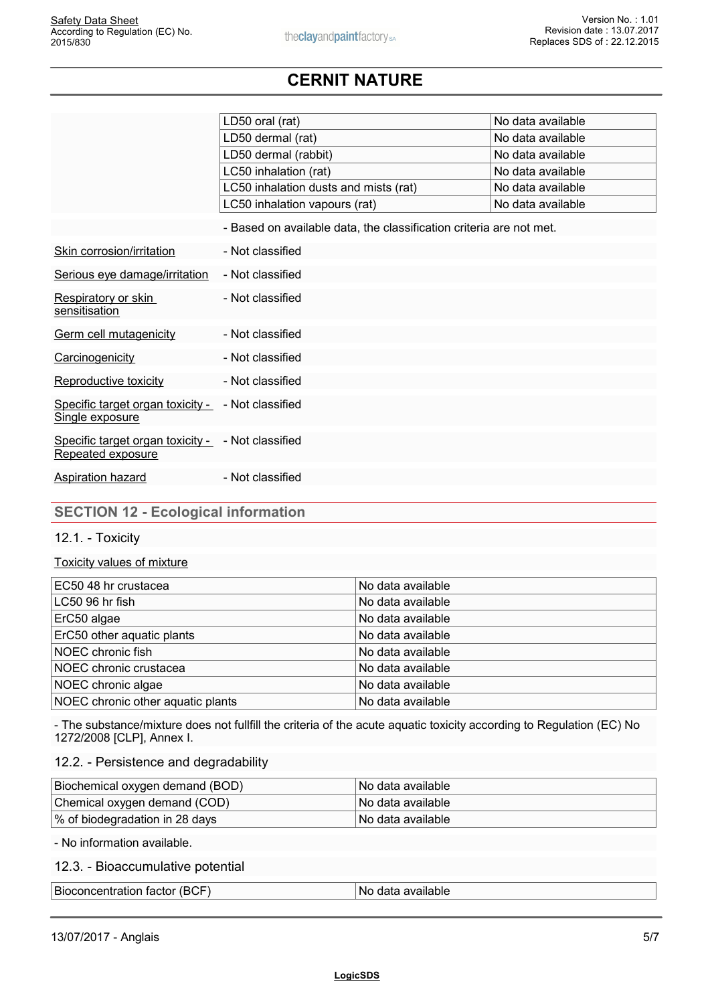|                                                                        | LD50 oral (rat)                                                     | No data available |
|------------------------------------------------------------------------|---------------------------------------------------------------------|-------------------|
|                                                                        | LD50 dermal (rat)                                                   | No data available |
|                                                                        | LD50 dermal (rabbit)                                                | No data available |
|                                                                        | LC50 inhalation (rat)                                               | No data available |
|                                                                        | LC50 inhalation dusts and mists (rat)                               | No data available |
|                                                                        | LC50 inhalation vapours (rat)                                       | No data available |
|                                                                        | - Based on available data, the classification criteria are not met. |                   |
| Skin corrosion/irritation                                              | - Not classified                                                    |                   |
| Serious eye damage/irritation                                          | - Not classified                                                    |                   |
| Respiratory or skin<br>sensitisation                                   | - Not classified                                                    |                   |
| Germ cell mutagenicity                                                 | - Not classified                                                    |                   |
| Carcinogenicity                                                        | - Not classified                                                    |                   |
| Reproductive toxicity                                                  | - Not classified                                                    |                   |
| Specific target organ toxicity -<br>Single exposure                    | - Not classified                                                    |                   |
| Specific target organ toxicity - - Not classified<br>Repeated exposure |                                                                     |                   |
| Aspiration hazard                                                      | - Not classified                                                    |                   |

## **SECTION 12 - Ecological information**

#### 12.1. - Toxicity

#### Toxicity values of mixture

| EC50 48 hr crustacea              | No data available |  |
|-----------------------------------|-------------------|--|
| $LC5096$ hr fish                  | No data available |  |
| ErC50 algae                       | No data available |  |
| ErC50 other aquatic plants        | No data available |  |
| NOEC chronic fish                 | No data available |  |
| NOEC chronic crustacea            | No data available |  |
| NOEC chronic algae                | No data available |  |
| NOEC chronic other aquatic plants | No data available |  |
|                                   |                   |  |

- The substance/mixture does not fullfill the criteria of the acute aquatic toxicity according to Regulation (EC) No 1272/2008 [CLP], Annex I.

#### 12.2. - Persistence and degradability

| Biochemical oxygen demand (BOD) | l No data available l |
|---------------------------------|-----------------------|
| Chemical oxygen demand (COD)    | l No data available l |
| % of biodegradation in 28 days  | l No data available   |

- No information available.

### 12.3. - Bioaccumulative potential

| Bioconcentration.<br>IDC<br>---------<br><b>Tactor</b><br>(DUI | available<br>N0<br>יז הי<br>лак |
|----------------------------------------------------------------|---------------------------------|
|----------------------------------------------------------------|---------------------------------|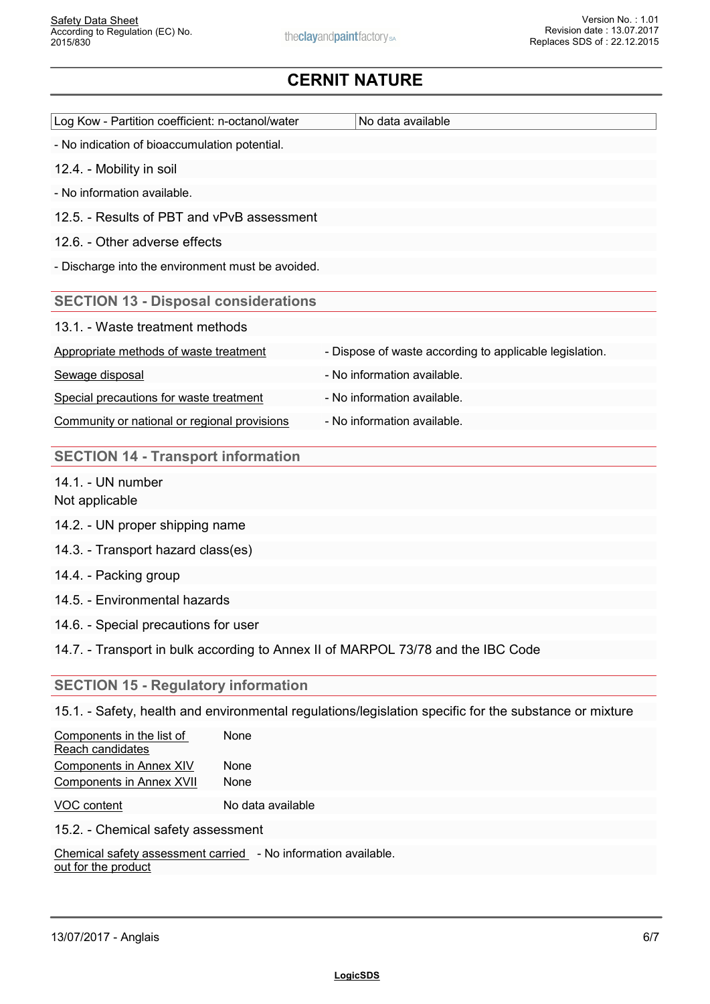| Log Kow - Partition coefficient: n-octanol/water<br>No data available<br>- No indication of bioaccumulation potential.<br>12.4. - Mobility in soil<br>- No information available.<br>12.5. - Results of PBT and vPvB assessment<br>12.6. - Other adverse effects<br>Discharge into the environment must be avoided.<br><b>SECTION 13 - Disposal considerations</b><br>13.1. - Waste treatment methods<br>- Dispose of waste according to applicable legislation.<br>Appropriate methods of waste treatment<br>Sewage disposal<br>- No information available.<br>Special precautions for waste treatment<br>- No information available.<br>- No information available.<br>Community or national or regional provisions<br><b>SECTION 14 - Transport information</b><br>14.1. - UN number<br>Not applicable<br>14.2. - UN proper shipping name<br>14.3. - Transport hazard class(es)<br>14.4. - Packing group<br>14.5. - Environmental hazards<br>14.6. - Special precautions for user<br>14.7. - Transport in bulk according to Annex II of MARPOL 73/78 and the IBC Code<br><b>SECTION 15 - Regulatory information</b><br>15.1. - Safety, health and environmental regulations/legislation specific for the substance or mixture<br>Components in the list of<br>None<br>Reach candidates<br><b>Components in Annex XIV</b><br>None |                                 |      |  |
|-------------------------------------------------------------------------------------------------------------------------------------------------------------------------------------------------------------------------------------------------------------------------------------------------------------------------------------------------------------------------------------------------------------------------------------------------------------------------------------------------------------------------------------------------------------------------------------------------------------------------------------------------------------------------------------------------------------------------------------------------------------------------------------------------------------------------------------------------------------------------------------------------------------------------------------------------------------------------------------------------------------------------------------------------------------------------------------------------------------------------------------------------------------------------------------------------------------------------------------------------------------------------------------------------------------------------------------|---------------------------------|------|--|
|                                                                                                                                                                                                                                                                                                                                                                                                                                                                                                                                                                                                                                                                                                                                                                                                                                                                                                                                                                                                                                                                                                                                                                                                                                                                                                                                     |                                 |      |  |
|                                                                                                                                                                                                                                                                                                                                                                                                                                                                                                                                                                                                                                                                                                                                                                                                                                                                                                                                                                                                                                                                                                                                                                                                                                                                                                                                     |                                 |      |  |
|                                                                                                                                                                                                                                                                                                                                                                                                                                                                                                                                                                                                                                                                                                                                                                                                                                                                                                                                                                                                                                                                                                                                                                                                                                                                                                                                     |                                 |      |  |
|                                                                                                                                                                                                                                                                                                                                                                                                                                                                                                                                                                                                                                                                                                                                                                                                                                                                                                                                                                                                                                                                                                                                                                                                                                                                                                                                     |                                 |      |  |
|                                                                                                                                                                                                                                                                                                                                                                                                                                                                                                                                                                                                                                                                                                                                                                                                                                                                                                                                                                                                                                                                                                                                                                                                                                                                                                                                     |                                 |      |  |
|                                                                                                                                                                                                                                                                                                                                                                                                                                                                                                                                                                                                                                                                                                                                                                                                                                                                                                                                                                                                                                                                                                                                                                                                                                                                                                                                     |                                 |      |  |
|                                                                                                                                                                                                                                                                                                                                                                                                                                                                                                                                                                                                                                                                                                                                                                                                                                                                                                                                                                                                                                                                                                                                                                                                                                                                                                                                     |                                 |      |  |
|                                                                                                                                                                                                                                                                                                                                                                                                                                                                                                                                                                                                                                                                                                                                                                                                                                                                                                                                                                                                                                                                                                                                                                                                                                                                                                                                     |                                 |      |  |
|                                                                                                                                                                                                                                                                                                                                                                                                                                                                                                                                                                                                                                                                                                                                                                                                                                                                                                                                                                                                                                                                                                                                                                                                                                                                                                                                     |                                 |      |  |
|                                                                                                                                                                                                                                                                                                                                                                                                                                                                                                                                                                                                                                                                                                                                                                                                                                                                                                                                                                                                                                                                                                                                                                                                                                                                                                                                     |                                 |      |  |
|                                                                                                                                                                                                                                                                                                                                                                                                                                                                                                                                                                                                                                                                                                                                                                                                                                                                                                                                                                                                                                                                                                                                                                                                                                                                                                                                     |                                 |      |  |
|                                                                                                                                                                                                                                                                                                                                                                                                                                                                                                                                                                                                                                                                                                                                                                                                                                                                                                                                                                                                                                                                                                                                                                                                                                                                                                                                     |                                 |      |  |
|                                                                                                                                                                                                                                                                                                                                                                                                                                                                                                                                                                                                                                                                                                                                                                                                                                                                                                                                                                                                                                                                                                                                                                                                                                                                                                                                     |                                 |      |  |
|                                                                                                                                                                                                                                                                                                                                                                                                                                                                                                                                                                                                                                                                                                                                                                                                                                                                                                                                                                                                                                                                                                                                                                                                                                                                                                                                     |                                 |      |  |
|                                                                                                                                                                                                                                                                                                                                                                                                                                                                                                                                                                                                                                                                                                                                                                                                                                                                                                                                                                                                                                                                                                                                                                                                                                                                                                                                     |                                 |      |  |
|                                                                                                                                                                                                                                                                                                                                                                                                                                                                                                                                                                                                                                                                                                                                                                                                                                                                                                                                                                                                                                                                                                                                                                                                                                                                                                                                     |                                 |      |  |
|                                                                                                                                                                                                                                                                                                                                                                                                                                                                                                                                                                                                                                                                                                                                                                                                                                                                                                                                                                                                                                                                                                                                                                                                                                                                                                                                     |                                 |      |  |
|                                                                                                                                                                                                                                                                                                                                                                                                                                                                                                                                                                                                                                                                                                                                                                                                                                                                                                                                                                                                                                                                                                                                                                                                                                                                                                                                     |                                 |      |  |
|                                                                                                                                                                                                                                                                                                                                                                                                                                                                                                                                                                                                                                                                                                                                                                                                                                                                                                                                                                                                                                                                                                                                                                                                                                                                                                                                     |                                 |      |  |
|                                                                                                                                                                                                                                                                                                                                                                                                                                                                                                                                                                                                                                                                                                                                                                                                                                                                                                                                                                                                                                                                                                                                                                                                                                                                                                                                     |                                 |      |  |
|                                                                                                                                                                                                                                                                                                                                                                                                                                                                                                                                                                                                                                                                                                                                                                                                                                                                                                                                                                                                                                                                                                                                                                                                                                                                                                                                     |                                 |      |  |
|                                                                                                                                                                                                                                                                                                                                                                                                                                                                                                                                                                                                                                                                                                                                                                                                                                                                                                                                                                                                                                                                                                                                                                                                                                                                                                                                     |                                 |      |  |
|                                                                                                                                                                                                                                                                                                                                                                                                                                                                                                                                                                                                                                                                                                                                                                                                                                                                                                                                                                                                                                                                                                                                                                                                                                                                                                                                     |                                 |      |  |
|                                                                                                                                                                                                                                                                                                                                                                                                                                                                                                                                                                                                                                                                                                                                                                                                                                                                                                                                                                                                                                                                                                                                                                                                                                                                                                                                     | <b>Components in Annex XVII</b> | None |  |

VOC content No data available

15.2. - Chemical safety assessment

Chemical safety assessment carried - No information ava out for the product of the state of the state of the state of the state of the state of the state of the state - No information available.